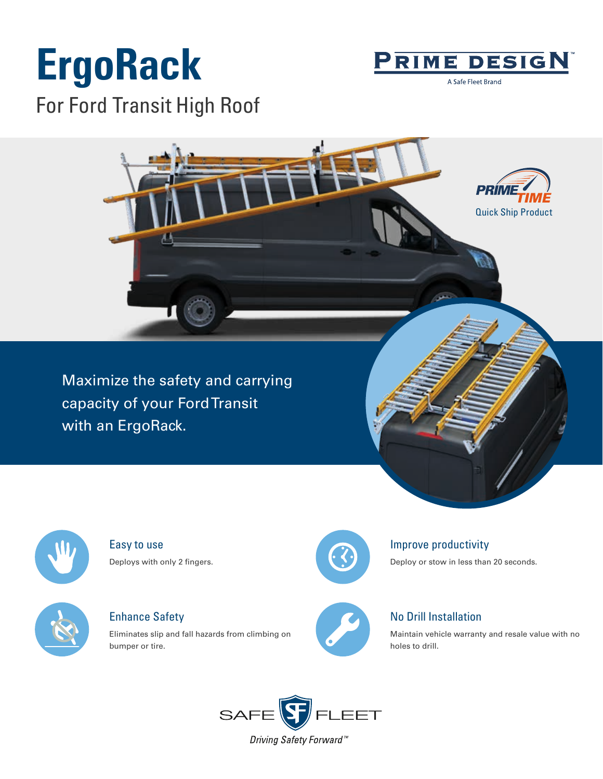# **ErgoRack** For Ford Transit High Roof



A Safe Fleet Brand

Quick Ship Product

*PRIN* 

Maximize the safety and carrying capacity of your Ford Transit with an ErgoRack.



Easy to use Deploys with only 2 fingers.



Enhance Safety

Eliminates slip and fall hazards from climbing on bumper or tire.



### Improve productivity

Deploy or stow in less than 20 seconds.



### No Drill Installation

Maintain vehicle warranty and resale value with no holes to drill.